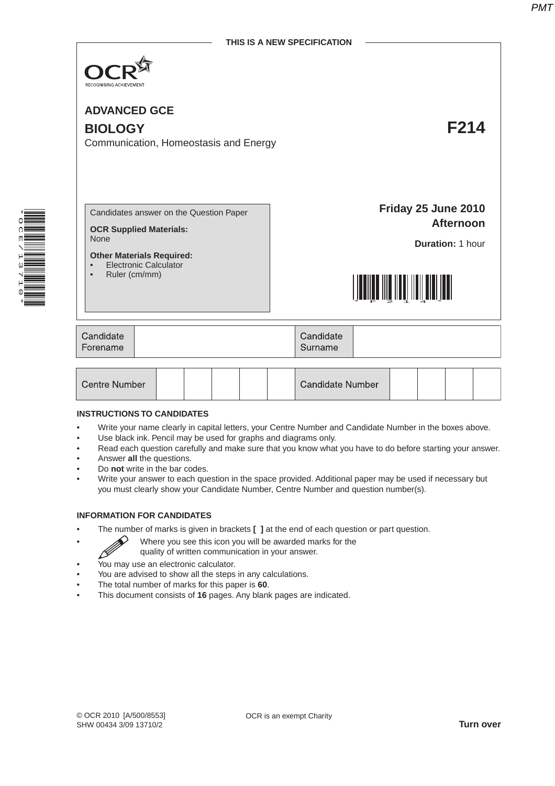

**ADVANCED GCE**

# **BIOLOGY F214**

Communication, Homeostasis and Energy

\*OCE/13710\*  Candidates answer on the Question Paper

**OCR Supplied Materials:** None

**Other Materials Required:**

- Electronic Calculator
- Ruler (cm/mm)

**Friday 25 June 2010 Afternoon**

**Duration:** 1 hour



| Candidate<br>Forename | Candidate<br>Surname |  |
|-----------------------|----------------------|--|
|                       |                      |  |

| <b>Centre Number</b> |  |  |  |  |  | Candidate Number |  |  |  |  |  |
|----------------------|--|--|--|--|--|------------------|--|--|--|--|--|
|----------------------|--|--|--|--|--|------------------|--|--|--|--|--|

#### **INSTRUCTIONS TO CANDIDATES**

- Write your name clearly in capital letters, your Centre Number and Candidate Number in the boxes above.
- Use black ink. Pencil may be used for graphs and diagrams only.
- Read each question carefully and make sure that you know what you have to do before starting your answer.
- Answer **all** the questions.
- Do **not** write in the bar codes.
- Write your answer to each question in the space provided. Additional paper may be used if necessary but you must clearly show your Candidate Number, Centre Number and question number(s).

#### **INFORMATION FOR CANDIDATES**

- The number of marks is given in brackets **[ ]** at the end of each question or part question.
	- Where you see this icon you will be awarded marks for the
		- quality of written communication in your answer.
- You may use an electronic calculator.
- You are advised to show all the steps in any calculations.
- The total number of marks for this paper is **60**.
- This document consists of **16** pages. Any blank pages are indicated.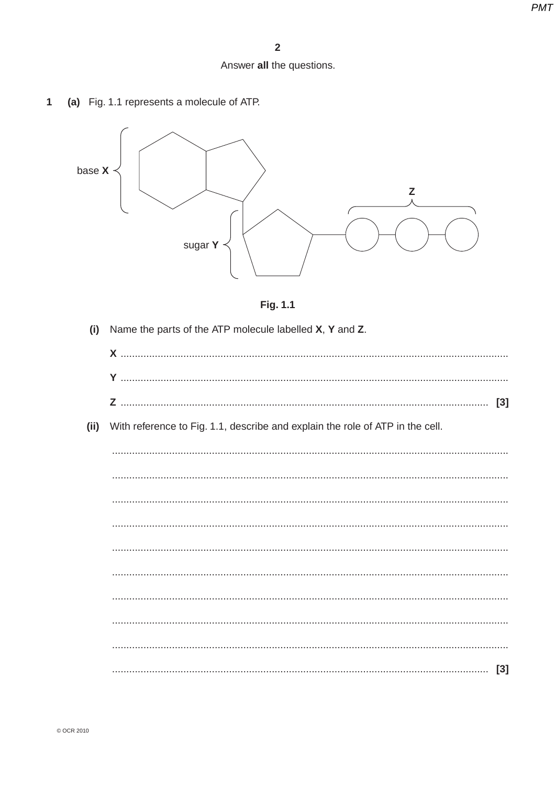## Answer all the questions.

(a) Fig. 1.1 represents a molecule of ATP.  $\mathbf{1}$ 





| (i)  | Name the parts of the ATP molecule labelled X, Y and Z.                       |
|------|-------------------------------------------------------------------------------|
|      |                                                                               |
|      |                                                                               |
|      | $[3]$                                                                         |
| (ii) | With reference to Fig. 1.1, describe and explain the role of ATP in the cell. |
|      |                                                                               |
|      |                                                                               |
|      |                                                                               |
|      |                                                                               |
|      |                                                                               |
|      |                                                                               |
|      |                                                                               |
|      |                                                                               |
|      |                                                                               |
|      |                                                                               |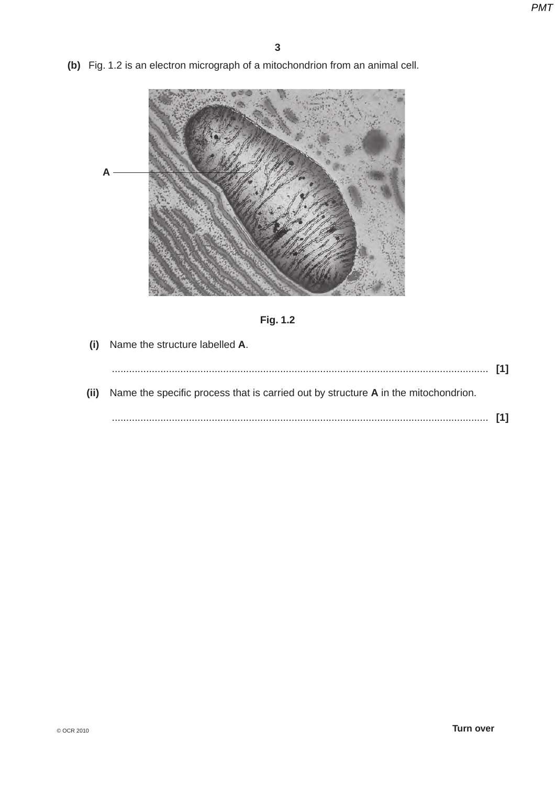**(b)** Fig. 1.2 is an electron micrograph of a mitochondrion from an animal cell.





 **(i)** Name the structure labelled **A**.

| $[1]$                                                                                   |  |
|-----------------------------------------------------------------------------------------|--|
| (ii) Name the specific process that is carried out by structure A in the mitochondrion. |  |
|                                                                                         |  |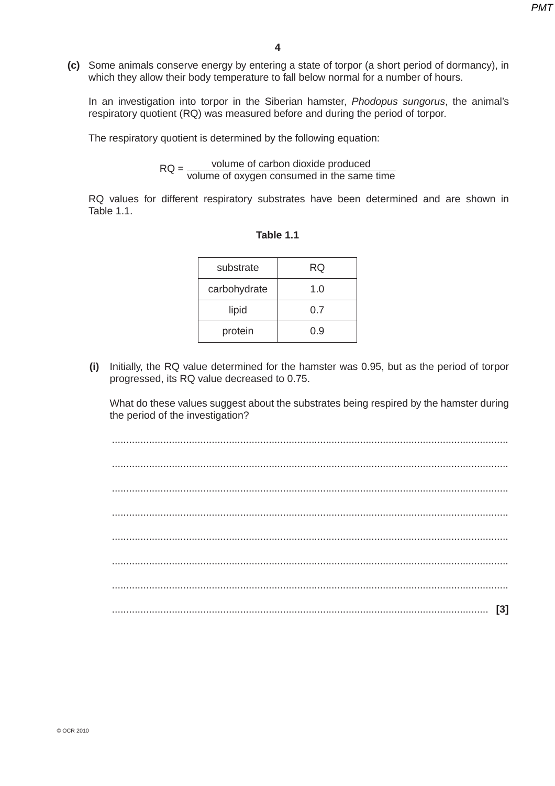**(c)** Some animals conserve energy by entering a state of torpor (a short period of dormancy), in which they allow their body temperature to fall below normal for a number of hours.

In an investigation into torpor in the Siberian hamster, *Phodopus sungorus*, the animal's respiratory quotient (RQ) was measured before and during the period of torpor.

The respiratory quotient is determined by the following equation:

 $RQ = \frac{\text{volume of carbon dioxide produced}}{\text{m} + \text{m} + \text{m} + \text{m} + \text{m} + \text{m} + \text{m} + \text{m} + \text{m} + \text{m} + \text{m} + \text{m} + \text{m} + \text{m} + \text{m} + \text{m} + \text{m} + \text{m} + \text{m} + \text{m} + \text{m} + \text{m} + \text{m} + \text{m} + \text{m} + \text{m} + \text{m} + \text{m} + \text{m} + \text{m} + \text{m} + \text{m} + \text{m} + \text{m} + \text$ volume of oxygen consumed in the same time

RQ values for different respiratory substrates have been determined and are shown in Table 1.1.

| substrate    | RQ  |
|--------------|-----|
| carbohydrate | 1.0 |
| lipid        | 0.7 |
| protein      | 0.9 |

| Table |  |  |  |
|-------|--|--|--|
|       |  |  |  |

 **(i)** Initially, the RQ value determined for the hamster was 0.95, but as the period of torpor progressed, its RQ value decreased to 0.75.

What do these values suggest about the substrates being respired by the hamster during the period of the investigation?

 ........................................................................................................................................... ........................................................................................................................................... ........................................................................................................................................... ........................................................................................................................................... ........................................................................................................................................... ........................................................................................................................................... ........................................................................................................................................... .................................................................................................................................... **[3]**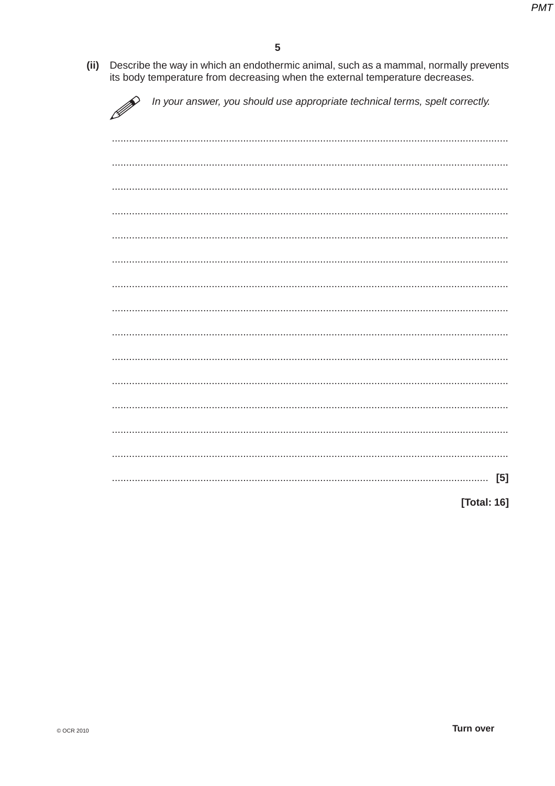(ii) Describe the way in which an endothermic animal, such as a mammal, normally prevents its body temperature from decreasing when the external temperature decreases.

| In your answer, you should use appropriate technical terms, spelt correctly. |
|------------------------------------------------------------------------------|
|                                                                              |
|                                                                              |
|                                                                              |
|                                                                              |
|                                                                              |
|                                                                              |
|                                                                              |
|                                                                              |
|                                                                              |
|                                                                              |
|                                                                              |
|                                                                              |
|                                                                              |
| [5]                                                                          |
| [Total: 16]                                                                  |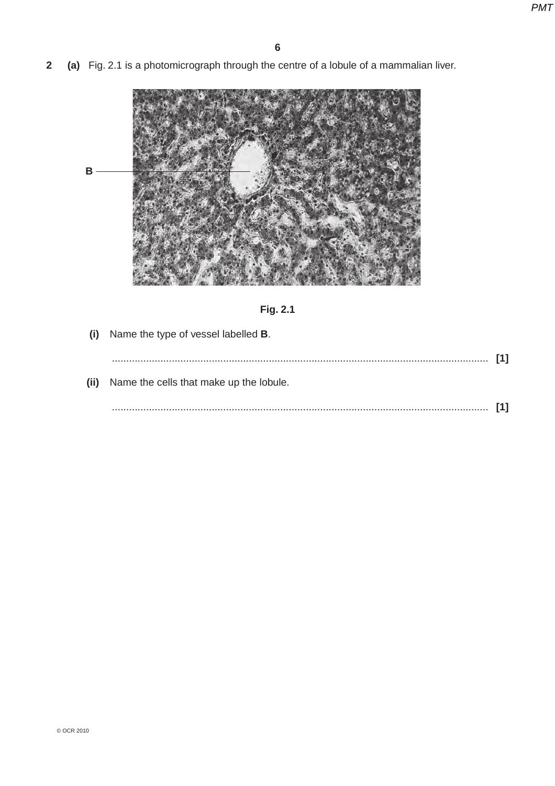**2 (a)** Fig. 2.1 is a photomicrograph through the centre of a lobule of a mammalian liver.





- **(i)** Name the type of vessel labelled **B**.
- .................................................................................................................................... **[1] (ii)** Name the cells that make up the lobule. .................................................................................................................................... **[1]**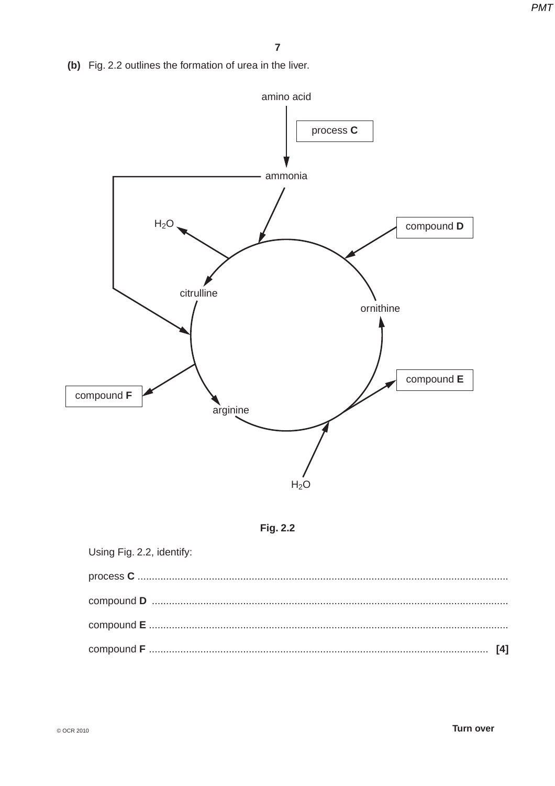(b) Fig. 2.2 outlines the formation of urea in the liver.





| Using Fig. 2.2, identify: |  |
|---------------------------|--|
|                           |  |
|                           |  |
|                           |  |
|                           |  |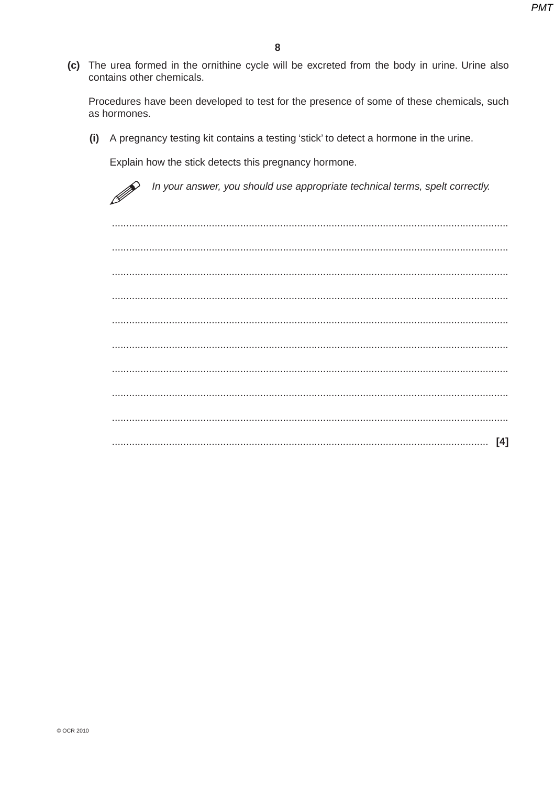(c) The urea formed in the ornithine cycle will be excreted from the body in urine. Urine also contains other chemicals.

Procedures have been developed to test for the presence of some of these chemicals, such as hormones.

(i) A pregnancy testing kit contains a testing 'stick' to detect a hormone in the urine.

Explain how the stick detects this pregnancy hormone.

In your answer, you should use appropriate technical terms, spelt correctly.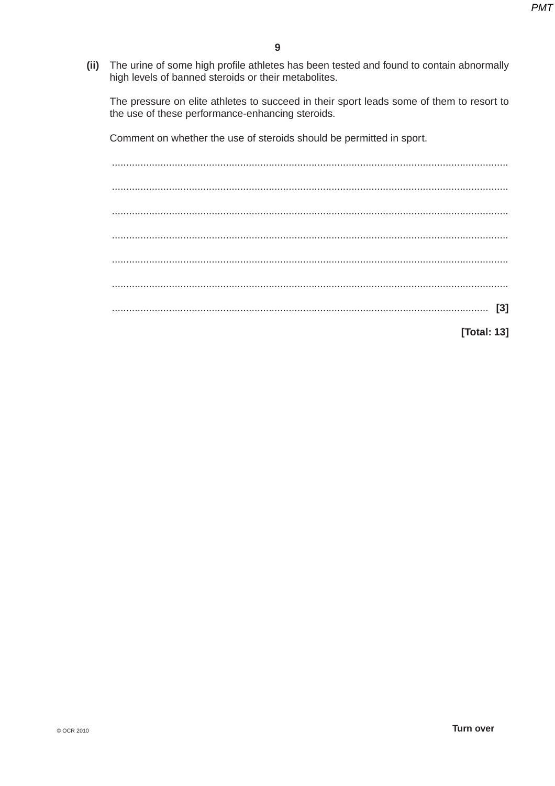$(ii)$ The urine of some high profile athletes has been tested and found to contain abnormally high levels of banned steroids or their metabolites.

The pressure on elite athletes to succeed in their sport leads some of them to resort to the use of these performance-enhancing steroids.

Comment on whether the use of steroids should be permitted in sport.

[Total: 13]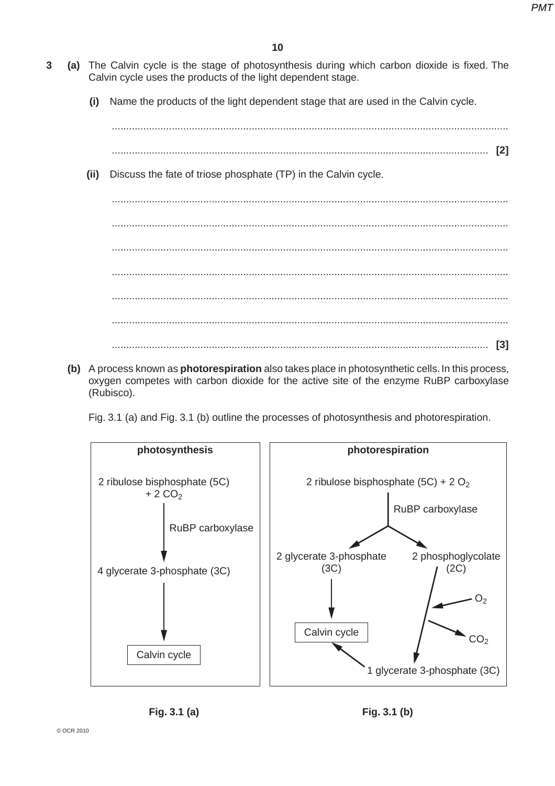- **3 (a)** The Calvin cycle is the stage of photosynthesis during which carbon dioxide is fixed. The Calvin cycle uses the products of the light dependent stage.
	- **(i)** Name the products of the light dependent stage that are used in the Calvin cycle.

...........................................................................................................................................

- .................................................................................................................................... **[2]**
- **(ii)** Discuss the fate of triose phosphate (TP) in the Calvin cycle.

 ........................................................................................................................................... ........................................................................................................................................... ........................................................................................................................................... ........................................................................................................................................... ........................................................................................................................................... ........................................................................................................................................... .................................................................................................................................... **[3]**

 **(b)** A process known as **photorespiration** also takes place in photosynthetic cells. In this process, oxygen competes with carbon dioxide for the active site of the enzyme RuBP carboxylase (Rubisco).

Fig. 3.1 (a) and Fig. 3.1 (b) outline the processes of photosynthesis and photorespiration.

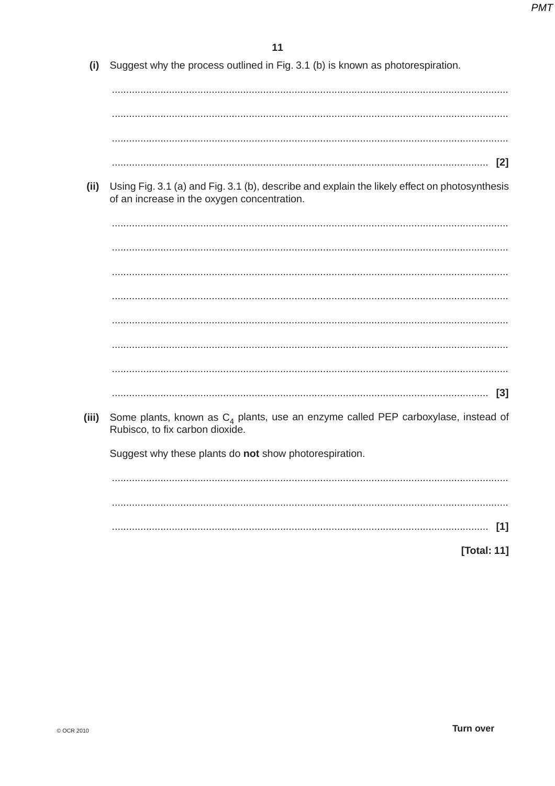Suggest why the process outlined in Fig. 3.1 (b) is known as photorespiration.  $(i)$ 

- 
- Using Fig. 3.1 (a) and Fig. 3.1 (b), describe and explain the likely effect on photosynthesis  $(ii)$ of an increase in the oxygen concentration.

 $(iii)$ Some plants, known as  $C_{\text{A}}$  plants, use an enzyme called PEP carboxylase, instead of Rubisco, to fix carbon dioxide.

Suggest why these plants do not show photorespiration.

[Total: 11]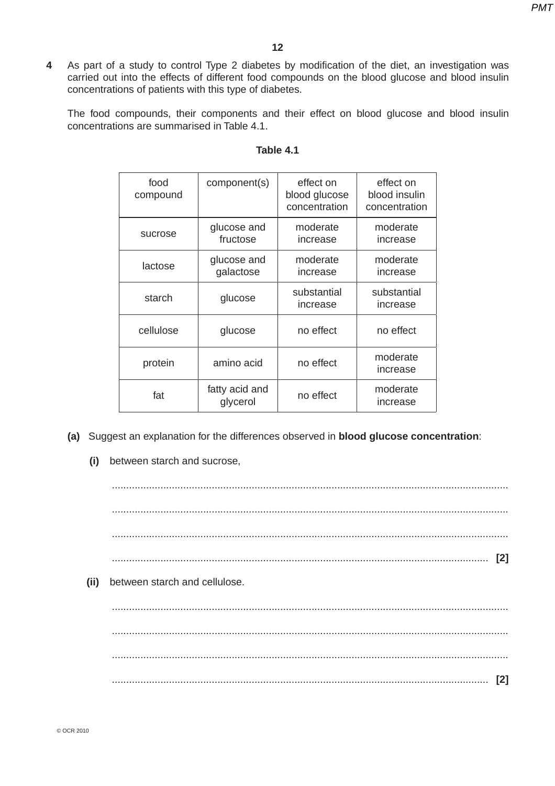**4** As part of a study to control Type 2 diabetes by modification of the diet, an investigation was carried out into the effects of different food compounds on the blood glucose and blood insulin concentrations of patients with this type of diabetes.

The food compounds, their components and their effect on blood glucose and blood insulin concentrations are summarised in Table 4.1.

| food<br>compound | component(s)               | effect on<br>blood glucose<br>concentration | effect on<br>blood insulin<br>concentration |
|------------------|----------------------------|---------------------------------------------|---------------------------------------------|
| sucrose          | glucose and<br>fructose    | moderate<br>increase                        | moderate<br>increase                        |
| lactose          | glucose and<br>galactose   | moderate<br>increase                        | moderate<br>increase                        |
| starch           | glucose                    | substantial<br>increase                     | substantial<br>increase                     |
| cellulose        | glucose                    | no effect                                   | no effect                                   |
| protein          | amino acid                 | no effect                                   | moderate<br>increase                        |
| fat              | fatty acid and<br>glycerol | no effect                                   | moderate<br>increase                        |

#### **Table 4.1**

- **(a)** Suggest an explanation for the differences observed in **blood glucose concentration**:
	- **(i)** between starch and sucrose,

 ........................................................................................................................................... ........................................................................................................................................... ........................................................................................................................................... .................................................................................................................................... **[2] (ii)** between starch and cellulose. ........................................................................................................................................... ........................................................................................................................................... ........................................................................................................................................... .................................................................................................................................... **[2]**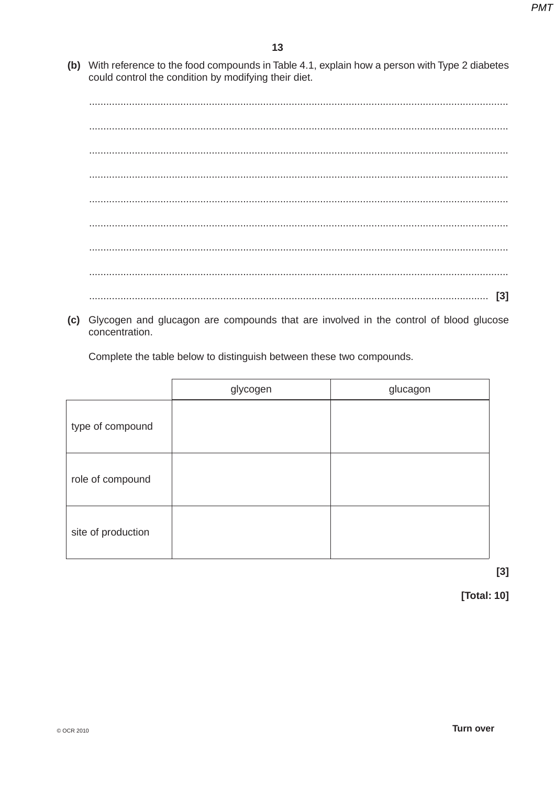(b) With reference to the food compounds in Table 4.1, explain how a person with Type 2 diabetes could control the condition by modifying their diet.

(c) Glycogen and glucagon are compounds that are involved in the control of blood glucose concentration.

Complete the table below to distinguish between these two compounds.

|                    | glycogen | glucagon |
|--------------------|----------|----------|
| type of compound   |          |          |
| role of compound   |          |          |
| site of production |          |          |

 $[3]$ 

[Total: 10]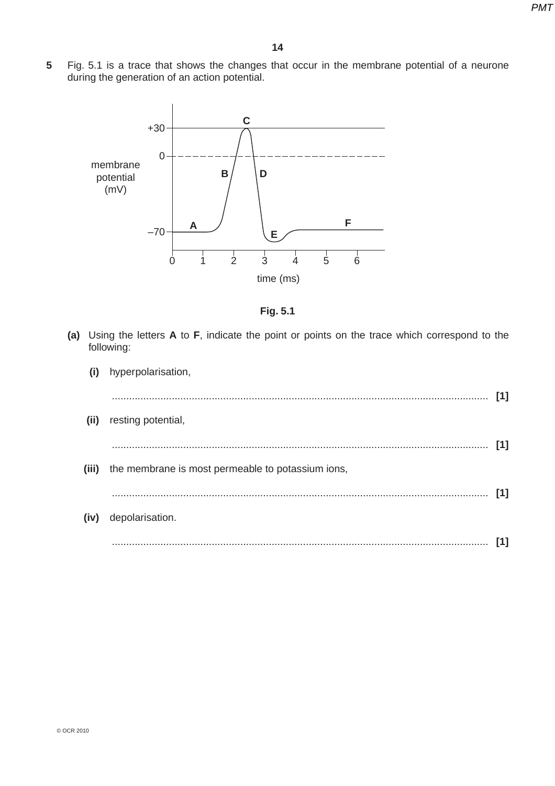**5** Fig. 5.1 is a trace that shows the changes that occur in the membrane potential of a neurone during the generation of an action potential.





 **(a)** Using the letters **A** to **F**, indicate the point or points on the trace which correspond to the following:

| (i) | hyperpolarisation,                                      |     |
|-----|---------------------------------------------------------|-----|
|     | (ii) resting potential,                                 | [1] |
|     | (iii) the membrane is most permeable to potassium ions, | [1] |
|     | (iv) depolarisation.                                    | [1] |
|     |                                                         | [1] |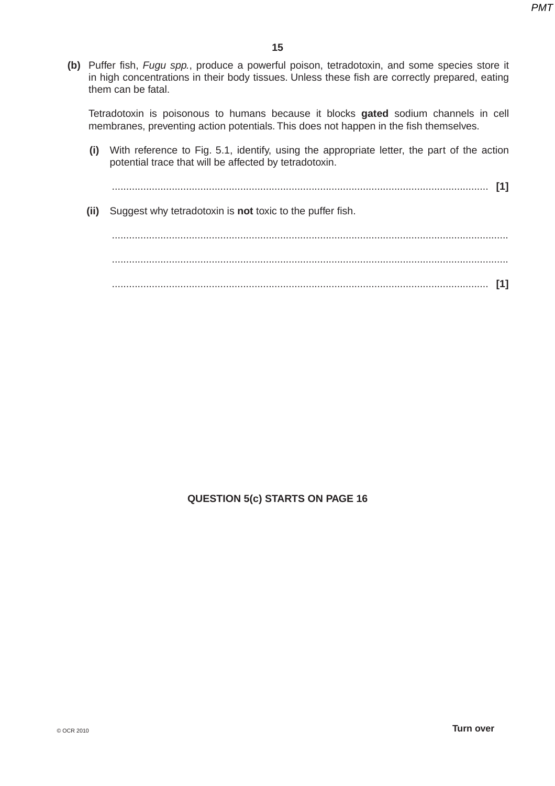**(b)** Puffer fish, *Fugu spp.*, produce a powerful poison, tetradotoxin, and some species store it in high concentrations in their body tissues. Unless these fish are correctly prepared, eating them can be fatal.

Tetradotoxin is poisonous to humans because it blocks **gated** sodium channels in cell membranes, preventing action potentials. This does not happen in the fish themselves.

 **(i)** With reference to Fig. 5.1, identify, using the appropriate letter, the part of the action potential trace that will be affected by tetradotoxin.

 .................................................................................................................................... **[1] (ii)** Suggest why tetradotoxin is **not** toxic to the puffer fish. ........................................................................................................................................... ........................................................................................................................................... .................................................................................................................................... **[1]**

### **QUESTION 5(c) STARTS ON PAGE 16**